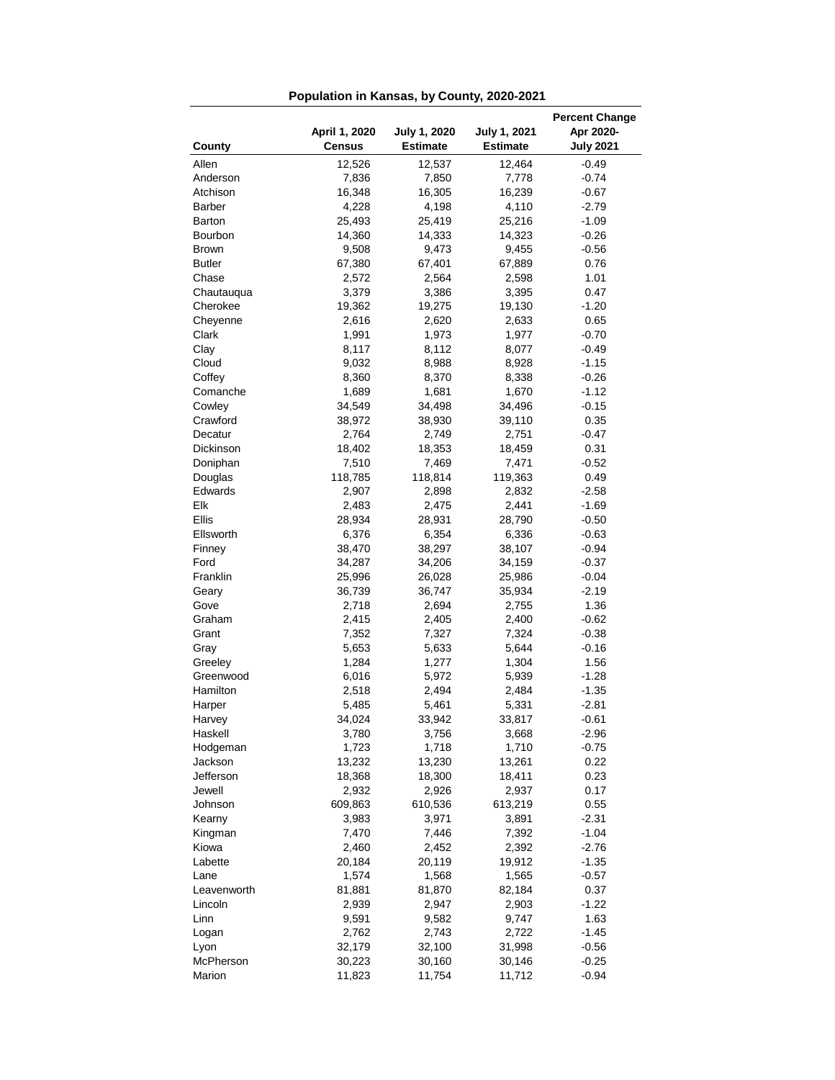| <b>Percent Change</b> |                 |                 |                 |                    |  |  |
|-----------------------|-----------------|-----------------|-----------------|--------------------|--|--|
|                       | April 1, 2020   | July 1, 2020    | July 1, 2021    | Apr 2020-          |  |  |
| County                | <b>Census</b>   | <b>Estimate</b> | <b>Estimate</b> | <b>July 2021</b>   |  |  |
| Allen                 | 12,526          | 12,537          | 12,464          | $-0.49$            |  |  |
| Anderson              | 7,836           | 7,850           | 7,778           | $-0.74$            |  |  |
| Atchison              | 16,348          | 16,305          | 16,239          | $-0.67$            |  |  |
| Barber                | 4,228           | 4,198           | 4,110           | $-2.79$            |  |  |
| Barton                | 25,493          | 25,419          | 25,216          | $-1.09$            |  |  |
| Bourbon               | 14,360          | 14,333          | 14,323          | $-0.26$            |  |  |
| <b>Brown</b>          | 9,508           | 9,473           | 9,455           | $-0.56$            |  |  |
| <b>Butler</b>         | 67,380<br>2,572 | 67,401          | 67,889          | 0.76               |  |  |
| Chase<br>Chautauqua   |                 | 2,564           | 2,598           | 1.01<br>0.47       |  |  |
| Cherokee              | 3,379<br>19,362 | 3,386<br>19,275 | 3,395<br>19,130 | $-1.20$            |  |  |
| Cheyenne              | 2,616           | 2,620           | 2,633           | 0.65               |  |  |
| Clark                 | 1,991           | 1,973           | 1,977           | $-0.70$            |  |  |
| Clay                  | 8,117           | 8,112           | 8,077           | $-0.49$            |  |  |
| Cloud                 | 9,032           | 8,988           | 8,928           | $-1.15$            |  |  |
| Coffey                | 8,360           | 8,370           | 8,338           | $-0.26$            |  |  |
| Comanche              | 1,689           | 1,681           | 1,670           | $-1.12$            |  |  |
| Cowley                | 34,549          | 34,498          | 34,496          | $-0.15$            |  |  |
| Crawford              | 38,972          | 38,930          | 39,110          | 0.35               |  |  |
| Decatur               | 2,764           | 2,749           | 2,751           | $-0.47$            |  |  |
| Dickinson             | 18,402          | 18,353          | 18,459          | 0.31               |  |  |
| Doniphan              | 7,510           | 7,469           | 7,471           | $-0.52$            |  |  |
| Douglas               | 118,785         | 118,814         | 119,363         | 0.49               |  |  |
| Edwards               | 2,907           | 2,898           | 2,832           | $-2.58$            |  |  |
| Elk                   | 2,483           | 2,475           | 2,441           | $-1.69$            |  |  |
| Ellis                 | 28,934          | 28,931          | 28,790          | $-0.50$            |  |  |
| Ellsworth             | 6,376           | 6,354           | 6,336           | $-0.63$            |  |  |
| Finney                | 38,470          | 38,297          | 38,107          | $-0.94$            |  |  |
| Ford                  | 34,287          | 34,206          | 34,159          | $-0.37$            |  |  |
| Franklin              | 25,996          | 26,028          | 25,986          | $-0.04$            |  |  |
| Geary                 | 36,739          | 36,747          | 35,934          | $-2.19$            |  |  |
| Gove                  | 2,718           | 2,694           | 2,755           | 1.36               |  |  |
| Graham                | 2,415           | 2,405           | 2,400           | $-0.62$            |  |  |
| Grant                 | 7,352           | 7,327           | 7,324           | $-0.38$            |  |  |
| Gray                  | 5,653           | 5,633           | 5,644           | $-0.16$            |  |  |
| Greeley               | 1,284           | 1,277           | 1,304           | 1.56               |  |  |
| Greenwood<br>Hamilton | 6,016           | 5,972<br>2,494  | 5,939           | $-1.28$            |  |  |
| Harper                | 2,518<br>5,485  | 5,461           | 2,484<br>5,331  | $-1.35$<br>$-2.81$ |  |  |
| Harvey                | 34,024          | 33,942          | 33,817          | $-0.61$            |  |  |
| Haskell               | 3,780           | 3,756           | 3,668           | $-2.96$            |  |  |
| Hodgeman              | 1,723           | 1,718           | 1,710           | $-0.75$            |  |  |
| Jackson               | 13,232          | 13,230          | 13,261          | 0.22               |  |  |
| Jefferson             | 18,368          | 18,300          | 18,411          | 0.23               |  |  |
| Jewell                | 2,932           | 2,926           | 2,937           | 0.17               |  |  |
| Johnson               | 609,863         | 610,536         | 613,219         | 0.55               |  |  |
| Kearny                | 3,983           | 3,971           | 3,891           | $-2.31$            |  |  |
| Kingman               | 7,470           | 7,446           | 7,392           | $-1.04$            |  |  |
| Kiowa                 | 2,460           | 2,452           | 2,392           | $-2.76$            |  |  |
| Labette               | 20,184          | 20,119          | 19,912          | $-1.35$            |  |  |
| Lane                  | 1,574           | 1,568           | 1,565           | -0.57              |  |  |
| Leavenworth           | 81,881          | 81,870          | 82,184          | 0.37               |  |  |
| Lincoln               | 2,939           | 2,947           | 2,903           | -1.22              |  |  |
| Linn                  | 9,591           | 9,582           | 9,747           | 1.63               |  |  |
| Logan                 | 2,762           | 2,743           | 2,722           | $-1.45$            |  |  |
| Lyon                  | 32,179          | 32,100          | 31,998          | $-0.56$            |  |  |
| McPherson             | 30,223          | 30,160          | 30,146          | $-0.25$            |  |  |
| Marion                | 11,823          | 11,754          | 11,712          | $-0.94$            |  |  |

**Population in Kansas, by County, 2020-2021**